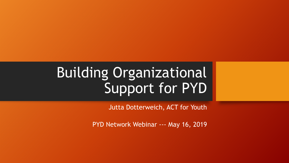# Building Organizational Support for PYD

Jutta Dotterweich, ACT for Youth

PYD Network Webinar --- May 16, 2019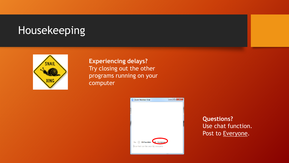### Housekeeping



**Experiencing delays?** Try closing out the other programs running on your computer



**Questions?** Use chat function. Post to Everyone.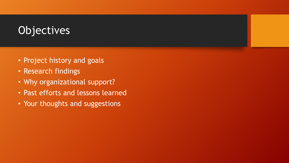## **Objectives**

- Project history and goals
- Research findings
- Why organizational support?
- Past efforts and lessons learned
- Your thoughts and suggestions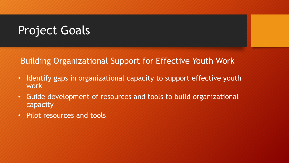## Project Goals

#### Building Organizational Support for Effective Youth Work

- Identify gaps in organizational capacity to support effective youth work
- Guide development of resources and tools to build organizational capacity
- Pilot resources and tools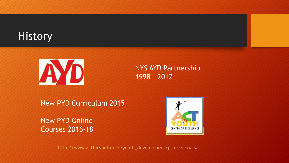## **History**



NYS AYD Partnership 1998 - 2012

New PYD Curriculum 2015

New PYD Online Courses 2016-18



[http://www.actforyouth.net/youth\\_development/professionals/](http://www.actforyouth.net/youth_development/professionals/)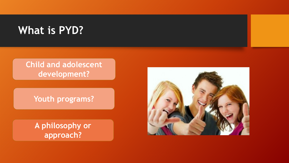### **What is PYD?**

#### **Child and adolescent development?**

**Youth programs?**

**A philosophy or approach?**

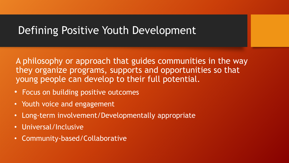#### Defining Positive Youth Development

A philosophy or approach that guides communities in the way they organize programs, supports and opportunities so that young people can develop to their full potential.

- Focus on building positive outcomes
- Youth voice and engagement
- Long-term involvement/Developmentally appropriate
- Universal/Inclusive
- Community-based/Collaborative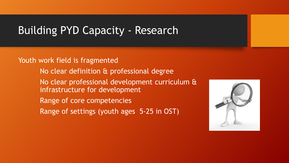#### Building PYD Capacity - Research

Youth work field is fragmented No clear definition & professional degree No clear professional development curriculum & infrastructure for development Range of core competencies Range of settings (youth ages 5-25 in OST)

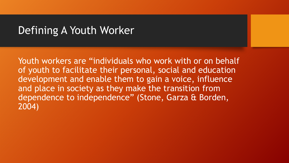#### Defining A Youth Worker

Youth workers are "individuals who work with or on behalf of youth to facilitate their personal, social and education development and enable them to gain a voice, influence and place in society as they make the transition from dependence to independence" (Stone, Garza & Borden, 2004)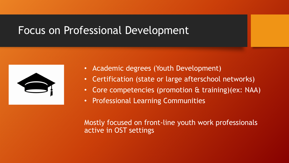#### Focus on Professional Development



- Academic degrees (Youth Development)
- Certification (state or large afterschool networks)
- Core competencies (promotion & training)(ex: NAA)
- Professional Learning Communities

Mostly focused on front-line youth work professionals active in OST settings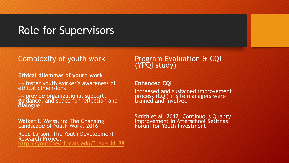#### Role for Supervisors

#### Complexity of youth work

#### **Ethical dilemmas of youth work**

 $\rightarrow$  foster youth worker's awareness of ethical dimensions

→ provide organizational support,<br>guidance, and space for reflection and **dialogue** 

Walker & Weiss, in: The Changing Landscape of Youth Work. 2016 Reed Larson: The Youth Development Research Project [http://youthdev.illinois.edu/?page\\_id=88](http://youthdev.illinois.edu/?page_id=88)

#### Program Evaluation & CQI (YPQI study)

#### **Enhanced CQI**

Increased and sustained improvement process (CQI) if site managers were trained and involved

Smith et al. 2012. Continuous Quality Improvement in Afterschool Settings. Forum for Youth Investment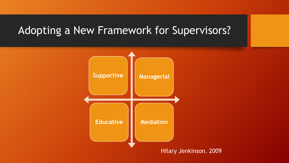## Adopting a New Framework for Supervisors?

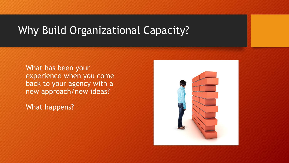### Why Build Organizational Capacity?

What has been your experience when you come back to your agency with a new approach/new ideas?

What happens?

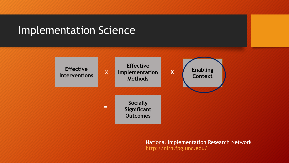#### Implementation Science



National Implementation Research Network <http://nirn.fpg.unc.edu/>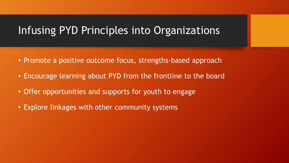#### Infusing PYD Principles into Organizations

- Promote a positive outcome focus, strengths-based approach
- Encourage learning about PYD from the frontline to the board
- Offer opportunities and supports for youth to engage
- Explore linkages with other community systems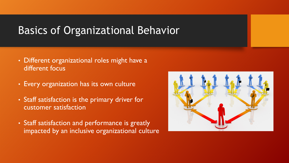#### Basics of Organizational Behavior

- Different organizational roles might have a different focus
- Every organization has its own culture
- Staff satisfaction is the primary driver for customer satisfaction
- Staff satisfaction and performance is greatly impacted by an inclusive organizational culture

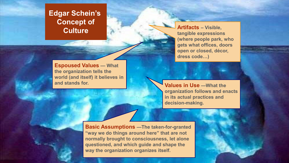## **Edgar Schein's Concept of**

**Espoused Values — What the organization tells the world (and itself) it believes in and stands for. Values in Use —What the** 

**Culture Culture Culture** *Culture Culture PHP* **tangible expressions (where people park, who gets what offices, doors open or closed, décor, dress code…)**

> **organization follows and enacts in its actual practices and decision-making.**

**Basic Assumptions —The taken-for-granted "way we do things around here" that are not normally brought to consciousness, let alone questioned, and which guide and shape the way the organization organizes itself.**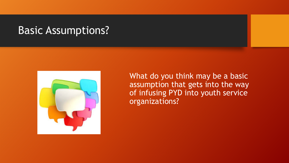#### Basic Assumptions?



What do you think may be a basic assumption that gets into the way of infusing PYD into youth service organizations?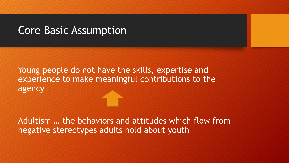#### Core Basic Assumption

Young people do not have the skills, expertise and experience to make meaningful contributions to the agency

Adultism … the behaviors and attitudes which flow from negative stereotypes adults hold about youth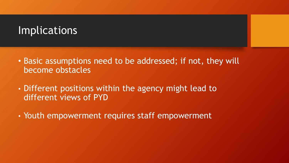#### Implications

- Basic assumptions need to be addressed; if not, they will become obstacles
- Different positions within the agency might lead to different views of PYD
- Youth empowerment requires staff empowerment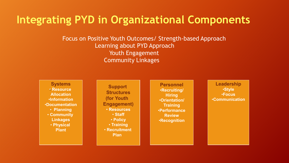#### **Integrating PYD in Organizational Components**

Focus on Positive Youth Outcomes/ Strength-based Approach Learning about PYD Approach Youth Engagement Community Linkages

**Systems** • **Resource Allocation** •**Information** •**Documentation** • **Planning** • **Community Linkages** • **Physical Plant**

**Support Structures (for Youth Engagement)** • **Resources** • **Staff** • **Policy** • **Training** • **Recruitment Plan** 

**Personnel** •**Recruiting/ Hiring** •**Orientation/ Training** •**Performance Review** •**Recognition**

**Leadership** •**Style** •**Focus** •**Communication**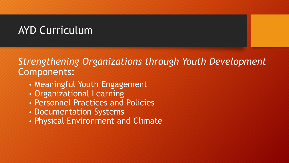## AYD Curriculum

#### *Strengthening Organizations through Youth Development*  Components:

- Meaningful Youth Engagement
- Organizational Learning
- Personnel Practices and Policies
- Documentation Systems
- Physical Environment and Climate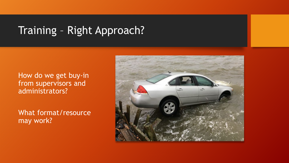## Training – Right Approach?

#### How do we get buy-in from supervisors and administrators?

What format/resource may work?

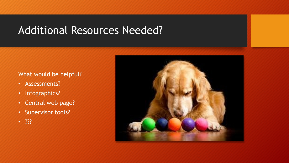#### Additional Resources Needed?

#### What would be helpful?

- Assessments?
- Infographics?
- Central web page?
- Supervisor tools?
- ???

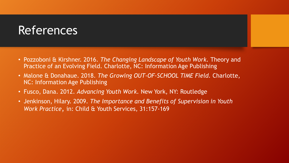### References

- Pozzoboni & Kirshner. 2016. *The Changing Landscape of Youth Work.* Theory and Practice of an Evolving Field. Charlotte, NC: Information Age Publishing
- Malone & Donahaue. 2018. *The Growing OUT-OF-SCHOOL TIME Field.* Charlotte, NC: Information Age Publishing
- Fusco, Dana. 2012. *Advancing Youth Work.* New York, NY: Routledge
- Jenkinson, Hilary. 2009. *The Importance and Benefits of Supervision in Youth Work Practice*, in: Child & Youth Services, 31:157-169